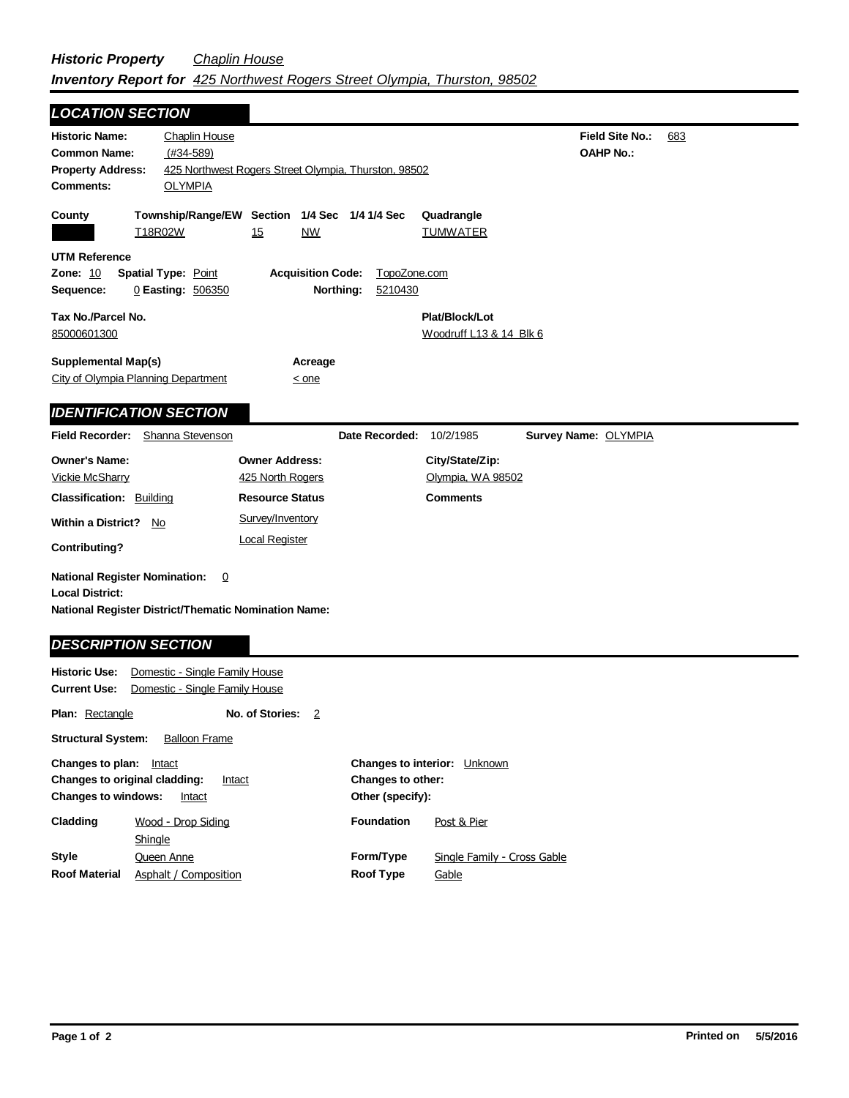## *Historic Property Chaplin House Inventory Report for 425 Northwest Rogers Street Olympia, Thurston, 98502*

| <b>LOCATION SECTION</b>                                                                                              |                                                                                                                  |                                                                  |                                                         |                                            |     |
|----------------------------------------------------------------------------------------------------------------------|------------------------------------------------------------------------------------------------------------------|------------------------------------------------------------------|---------------------------------------------------------|--------------------------------------------|-----|
| <b>Historic Name:</b><br><b>Common Name:</b><br><b>Property Address:</b><br><b>Comments:</b>                         | <b>Chaplin House</b><br>$(#34-589)$<br>425 Northwest Rogers Street Olympia, Thurston, 98502<br><b>OLYMPIA</b>    |                                                                  |                                                         | <b>Field Site No.:</b><br><b>OAHP No.:</b> | 683 |
| County<br>T18R02W                                                                                                    | Township/Range/EW Section 1/4 Sec 1/4 1/4 Sec<br>15                                                              | <u>NW</u>                                                        | Quadrangle<br><b>TUMWATER</b>                           |                                            |     |
| UTM Reference<br>Zone: 10<br><b>Spatial Type: Point</b><br>Sequence:                                                 | 0 Easting: 506350                                                                                                | <b>Acquisition Code:</b><br>TopoZone.com<br>Northing:<br>5210430 |                                                         |                                            |     |
| Tax No./Parcel No.<br>85000601300                                                                                    |                                                                                                                  |                                                                  | Plat/Block/Lot<br>Woodruff L13 & 14 Blk 6               |                                            |     |
| <b>Supplemental Map(s)</b><br>City of Olympia Planning Department                                                    | $\leq$ one                                                                                                       | Acreage                                                          |                                                         |                                            |     |
| <b>IDENTIFICATION SECTION</b>                                                                                        |                                                                                                                  |                                                                  |                                                         |                                            |     |
| <b>Field Recorder:</b>                                                                                               | Shanna Stevenson                                                                                                 | Date Recorded:                                                   | 10/2/1985                                               | Survey Name: OLYMPIA                       |     |
| <b>Owner's Name:</b><br><b>Vickie McSharry</b><br><b>Classification: Building</b><br><b>Within a District?</b><br>No | <b>Owner Address:</b><br>425 North Rogers<br><b>Resource Status</b><br>Survey/Inventory<br><b>Local Register</b> |                                                                  | City/State/Zip:<br>Olympia, WA 98502<br><b>Comments</b> |                                            |     |
| <b>Contributing?</b><br><b>National Register Nomination:</b><br><b>Local District:</b><br><b>DESCRIPTION SECTION</b> | 0<br><b>National Register District/Thematic Nomination Name:</b>                                                 |                                                                  |                                                         |                                            |     |
| <b>Historic Use:</b><br><b>Current Use:</b>                                                                          | Domestic - Single Family House<br>Domestic - Single Family House                                                 |                                                                  |                                                         |                                            |     |
| Plan: Rectangle                                                                                                      | No. of Stories:                                                                                                  | 2                                                                |                                                         |                                            |     |
| <b>Structural System:</b>                                                                                            | <b>Balloon Frame</b>                                                                                             |                                                                  |                                                         |                                            |     |
| Changes to plan: Intact<br>Changes to original cladding:<br>Intact<br><b>Changes to windows:</b><br>Intact           |                                                                                                                  | Changes to other:<br>Other (specify):                            | Changes to interior: Unknown                            |                                            |     |
| Cladding<br>Shingle                                                                                                  | Wood - Drop Siding                                                                                               | Foundation                                                       | Post & Pier                                             |                                            |     |

**Roof Material** Asphalt / Composition **Form/Type Roof Type** Queen Anne Single Family - Cross Gable **Gable** 

**Style**